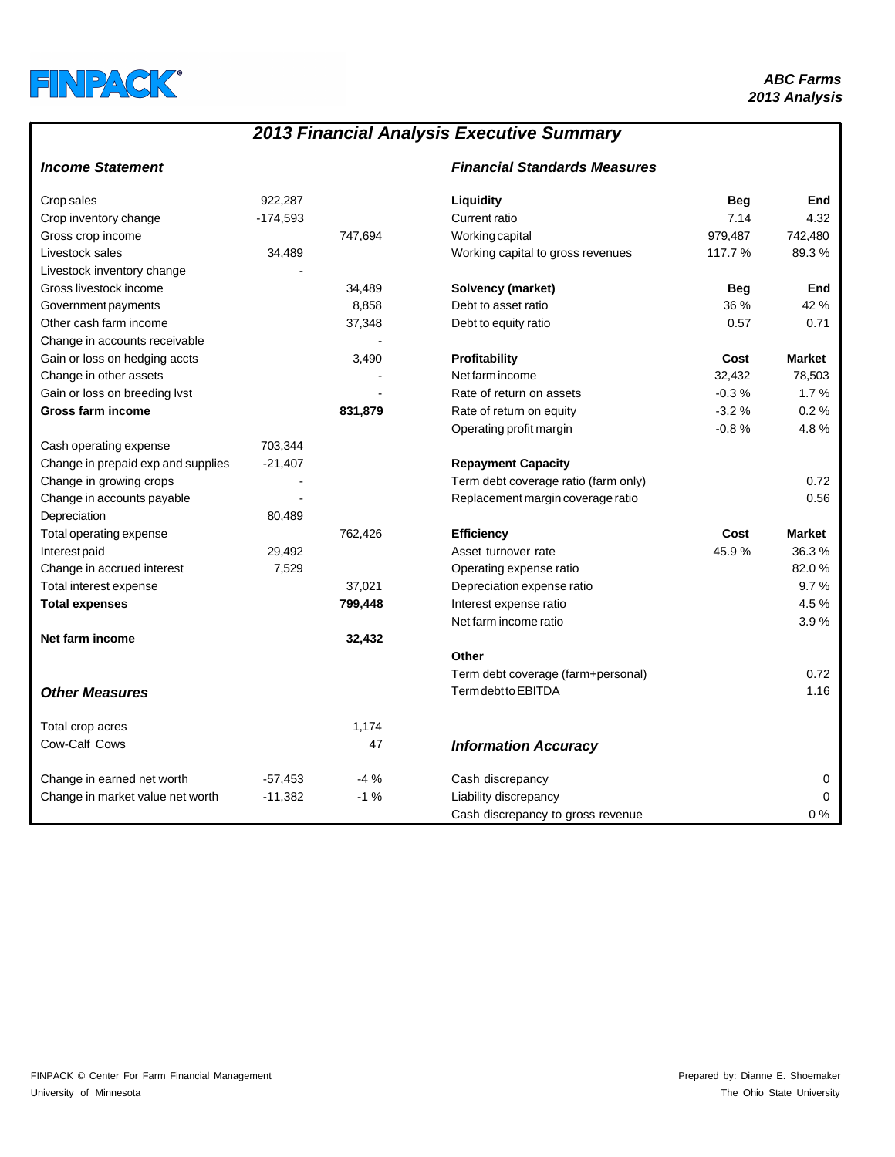

# *2013 Financial Analysis Executive Summary*

## *Income Statement Financial Standards Measures*

| Crop sales                         | 922.287    |         | Liquidity                            | <b>Beg</b> | End           |
|------------------------------------|------------|---------|--------------------------------------|------------|---------------|
| Crop inventory change              | $-174,593$ |         | Current ratio                        | 7.14       | 4.32          |
| Gross crop income                  |            | 747,694 | Working capital                      | 979,487    | 742,480       |
| Livestock sales                    | 34,489     |         | Working capital to gross revenues    | 117.7 %    | 89.3%         |
| Livestock inventory change         |            |         |                                      |            |               |
| Gross livestock income             |            | 34,489  | Solvency (market)                    | <b>Beg</b> | End           |
| Government payments                |            | 8,858   | Debt to asset ratio                  | 36 %       | 42 %          |
| Other cash farm income             |            | 37,348  | Debt to equity ratio                 | 0.57       | 0.71          |
| Change in accounts receivable      |            |         |                                      |            |               |
| Gain or loss on hedging accts      |            | 3,490   | Profitability                        | Cost       | <b>Market</b> |
| Change in other assets             |            |         | Net farm income                      | 32,432     | 78,503        |
| Gain or loss on breeding lvst      |            |         | Rate of return on assets             | $-0.3%$    | 1.7%          |
| Gross farm income                  |            | 831,879 | Rate of return on equity             | $-3.2%$    | 0.2%          |
|                                    |            |         | Operating profit margin              | $-0.8%$    | 4.8%          |
| Cash operating expense             | 703,344    |         |                                      |            |               |
| Change in prepaid exp and supplies | $-21,407$  |         | <b>Repayment Capacity</b>            |            |               |
| Change in growing crops            |            |         | Term debt coverage ratio (farm only) |            | 0.72          |
| Change in accounts payable         |            |         | Replacement margin coverage ratio    |            | 0.56          |
| Depreciation                       | 80,489     |         |                                      |            |               |
| Total operating expense            |            | 762,426 | <b>Efficiency</b>                    | Cost       | <b>Market</b> |
| Interest paid                      | 29,492     |         | Asset turnover rate                  | 45.9%      | 36.3%         |
| Change in accrued interest         | 7,529      |         | Operating expense ratio              |            | 82.0%         |
| Total interest expense             |            | 37,021  | Depreciation expense ratio           |            | 9.7%          |
| <b>Total expenses</b>              |            | 799,448 | Interest expense ratio               |            | 4.5%          |
|                                    |            |         | Net farm income ratio                |            | 3.9%          |
| Net farm income                    |            | 32,432  |                                      |            |               |
|                                    |            |         | Other                                |            |               |
|                                    |            |         | Term debt coverage (farm+personal)   |            | 0.72          |
| <b>Other Measures</b>              |            |         | Term debt to EBITDA                  |            | 1.16          |
|                                    |            |         |                                      |            |               |
| Total crop acres                   |            | 1,174   |                                      |            |               |
| Cow-Calf Cows                      |            | 47      | <b>Information Accuracy</b>          |            |               |
| Change in earned net worth         | $-57,453$  | $-4%$   | Cash discrepancy                     |            | 0             |
| Change in market value net worth   | $-11,382$  | $-1%$   | Liability discrepancy                |            | $\Omega$      |
|                                    |            |         | Cash discrepancy to gross revenue    |            | $0\%$         |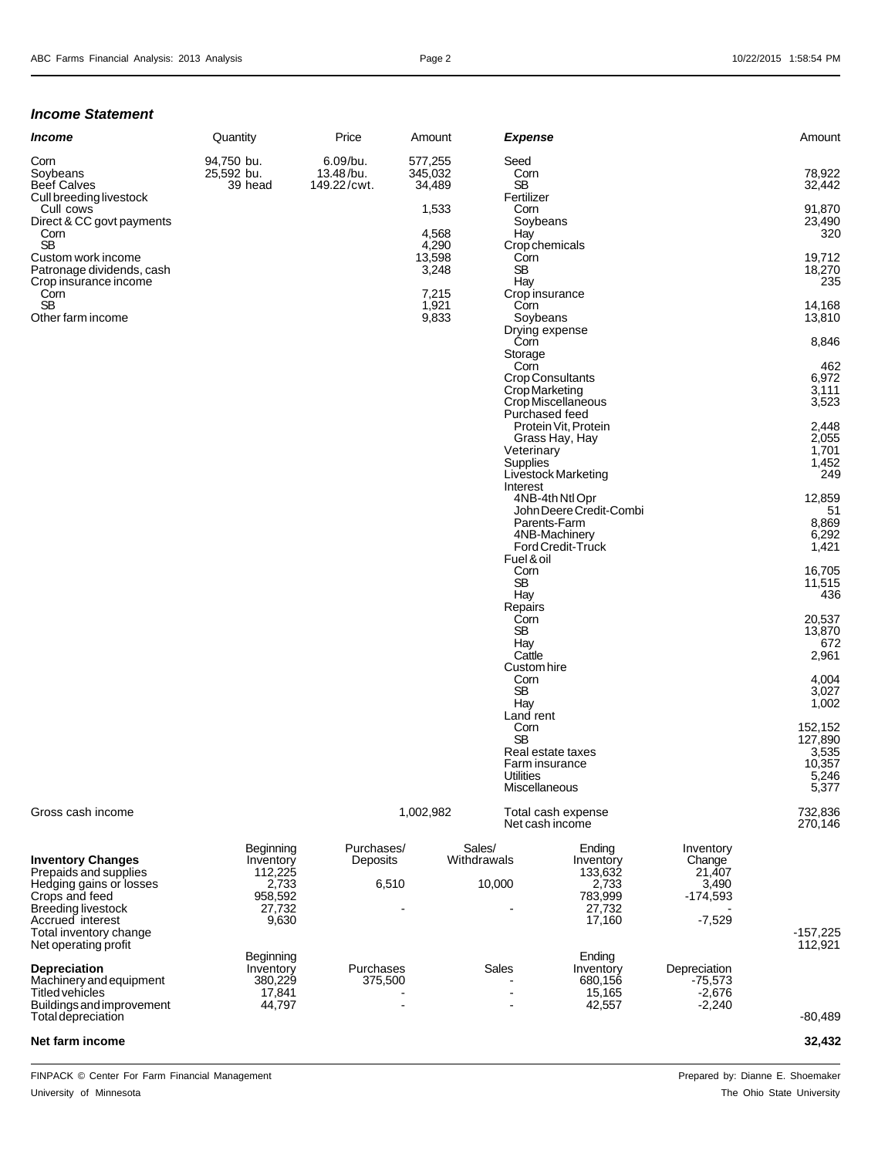### *Income Statement*

| <i><b>Income</b></i>      | Quantity   | Price       | Amount  | Expense        | Amount |
|---------------------------|------------|-------------|---------|----------------|--------|
| Corn                      | 94.750 bu. | 6.09/bu.    | 577.255 | Seed           |        |
| Soybeans                  | 25,592 bu. | 13.48/bu.   | 345,032 | Corn           | 78,922 |
| Beef Calves               | 39 head    | 149.22/cwt. | 34,489  | SB             | 32,442 |
| Cull breeding livestock   |            |             |         | Fertilizer     |        |
| Cull cows                 |            |             | 1,533   | Corn           | 91,870 |
| Direct & CC govt payments |            |             |         | Sovbeans       | 23,490 |
| Corn                      |            |             | 4,568   | Hay            | 320    |
| <b>SB</b>                 |            |             | 4.290   | Crop chemicals |        |
| Custom work income        |            |             | 13,598  | Corn           | 19,712 |
| Patronage dividends, cash |            |             | 3,248   | SВ             | 18,270 |
| Crop insurance income     |            |             |         | Hav            | 235    |
| Corn                      |            |             | 7,215   | Crop insurance |        |
| <b>SB</b>                 |            |             | 921.ا   | Corn           | 14,168 |
| Other farm income         |            |             | 9,833   | Sovbeans       | 13,810 |

| Income                                                                                | Quantity                            | Price                                | Amount                       | <b>Expense</b>                          |                                                                 |                               | Amount                         |
|---------------------------------------------------------------------------------------|-------------------------------------|--------------------------------------|------------------------------|-----------------------------------------|-----------------------------------------------------------------|-------------------------------|--------------------------------|
| Corn<br>Soybeans<br><b>Beef Calves</b><br>Cull breeding livestock                     | 94,750 bu.<br>25,592 bu.<br>39 head | 6.09/bu.<br>13.48/bu.<br>149.22/cwt. | 577,255<br>345,032<br>34,489 | Seed<br>Corn<br><b>SB</b><br>Fertilizer |                                                                 |                               | 78,922<br>32,442               |
| Cull cows<br>Direct & CC govt payments<br>Corn                                        |                                     |                                      | 1,533<br>4,568               | Corn<br>Hay                             | Soybeans                                                        |                               | 91,870<br>23,490<br>320        |
| <b>SB</b><br>Custom work income<br>Patronage dividends, cash<br>Crop insurance income |                                     |                                      | 4,290<br>13,598<br>3,248     | Corn<br><b>SB</b><br>Hay                | Crop chemicals                                                  |                               | 19,712<br>18,270<br>235        |
| Corn<br><b>SB</b><br>Other farm income                                                |                                     |                                      | 7,215<br>1,921<br>9,833      | Corn                                    | Crop insurance<br>Soybeans                                      |                               | 14,168<br>13,810               |
|                                                                                       |                                     |                                      |                              | Corn<br>Storage                         | Drying expense                                                  |                               | 8,846                          |
|                                                                                       |                                     |                                      |                              | Corn                                    | <b>Crop Consultants</b><br>Crop Marketing<br>Crop Miscellaneous |                               | 462<br>6,972<br>3,111<br>3,523 |
|                                                                                       |                                     |                                      |                              |                                         | Purchased feed<br>Protein Vit, Protein<br>Grass Hay, Hay        |                               | 2,448<br>2,055                 |
|                                                                                       |                                     |                                      |                              | Supplies<br>Interest                    | Veterinary<br>Livestock Marketing                               |                               | 1,701<br>1,452<br>249          |
|                                                                                       |                                     |                                      |                              |                                         | 4NB-4th Ntl Opr<br>John Deere Credit-Combi<br>Parents-Farm      |                               | 12,859<br>51<br>8,869          |
|                                                                                       |                                     |                                      |                              | Fuel & oil                              | 4NB-Machinery<br>Ford Credit-Truck                              |                               | 6,292<br>1,421                 |
|                                                                                       |                                     |                                      |                              | Corn<br>SB<br>Hay                       |                                                                 |                               | 16,705<br>11,515<br>436        |
|                                                                                       |                                     |                                      |                              | Repairs<br>Corn<br>SB                   |                                                                 |                               | 20,537<br>13,870<br>672        |
|                                                                                       |                                     |                                      |                              | Hay<br>Cattle<br>Corn                   | Custom hire                                                     |                               | 2,961<br>4,004                 |
|                                                                                       |                                     |                                      |                              | <b>SB</b><br>Hay<br>Land rent           |                                                                 |                               | 3,027<br>1,002                 |
|                                                                                       |                                     |                                      |                              | Corn<br><b>SB</b>                       | Real estate taxes                                               |                               | 152,152<br>127,890<br>3,535    |
|                                                                                       |                                     |                                      |                              | Utilities                               | Farm insurance<br>Miscellaneous                                 |                               | 10,357<br>5,246<br>5,377       |
| Gross cash income                                                                     |                                     |                                      | 1,002,982                    |                                         | Total cash expense<br>Net cash income                           |                               | 732,836<br>270,146             |
| <b>Inventory Changes</b><br>Prepaids and supplies<br>Hedging gains or losses          | Beginning<br>Inventory<br>112,225   | Purchases/<br>Deposits               |                              | Sales/<br>Withdrawals                   | Ending<br>Inventory<br>133,632                                  | Inventory<br>Change<br>21,407 |                                |
| Crops and feed<br>Breeding livestock                                                  | 2,733<br>958,592<br>27,732          |                                      | 6,510                        | 10,000<br>$\overline{\phantom{a}}$      | 2,733<br>783,999<br>27,732                                      | 3,490<br>$-174,593$           |                                |

| <b>Inventory Changes</b><br>Prepaids and supplies<br>Hedging gains or losses<br>Crops and feed<br><b>Breeding livestock</b><br>Accrued interest | Beginning<br>Inventory<br>112,225<br>2,733<br>958,592<br>27,732<br>9,630 | Purchases/<br><b>Deposits</b><br>6,510 | Sales/<br>Withdrawals<br>10,000                               | Ending<br>Inventory<br>133,632<br>2,733<br>783,999<br>27,732<br>17.160 | Inventory<br>Change<br>21,407<br>3,490<br>$-174,593$<br>$-7,529$ |                       |
|-------------------------------------------------------------------------------------------------------------------------------------------------|--------------------------------------------------------------------------|----------------------------------------|---------------------------------------------------------------|------------------------------------------------------------------------|------------------------------------------------------------------|-----------------------|
| Total inventory change<br>Net operating profit                                                                                                  |                                                                          |                                        |                                                               |                                                                        |                                                                  | $-157,225$<br>112.921 |
| <b>Depreciation</b><br>Machinery and equipment<br>Titled vehicles<br>Buildings and improvement<br>Total depreciation                            | Beginning<br>Inventory<br>380,229<br>17.841<br>44,797                    | Purchases<br>375,500                   | Sales<br>$\overline{\phantom{0}}$<br>$\overline{\phantom{0}}$ | Ending<br>Inventory<br>680.156<br>15,165<br>42,557                     | Depreciation<br>$-75,573$<br>$-2,676$<br>$-2,240$                | $-80.489$             |

### **Net farm income 32,432**

FINPACK © Center For Farm Financial Management **Prepared by: Dianne E. Shoemaker** Prepared by: Dianne E. Shoemaker University of Minnesota **The Ohio State University** The Ohio State University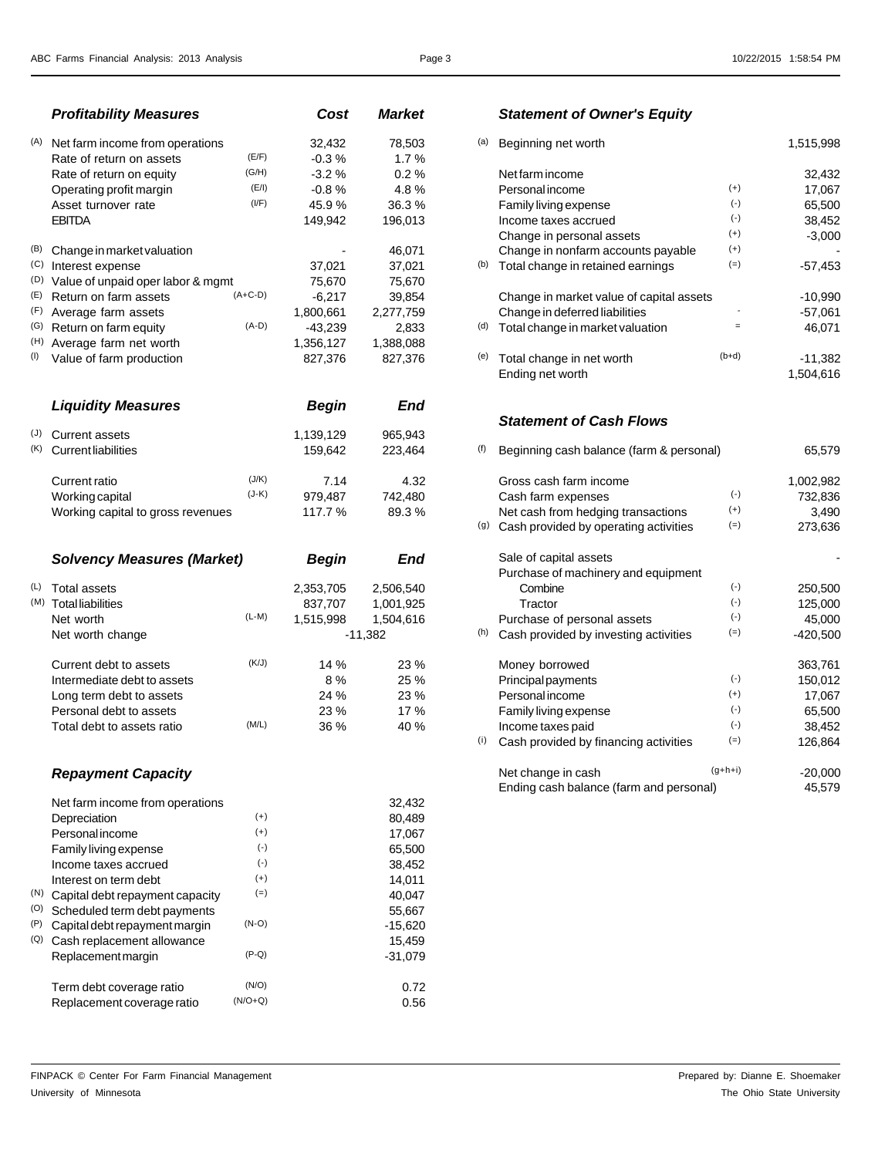|     | <b>Profitability Measures</b>                    |           | Cost         | <b>Market</b> |     | <b>Statement of Owner's Equity</b>       |           |           |
|-----|--------------------------------------------------|-----------|--------------|---------------|-----|------------------------------------------|-----------|-----------|
| (A) | Net farm income from operations                  |           | 32,432       | 78,503        | (a) | Beginning net worth                      |           | 1,515,998 |
|     | Rate of return on assets                         | (E/F)     | $-0.3%$      | 1.7%          |     |                                          |           |           |
|     | Rate of return on equity                         | (G/H)     | $-3.2%$      | 0.2%          |     | Net farm income                          |           | 32,432    |
|     | Operating profit margin                          | (E/I)     | $-0.8%$      | 4.8%          |     | Personal income                          | $(+)$     | 17,067    |
|     | Asset turnover rate                              | (I/F)     | 45.9%        | 36.3%         |     | Family living expense                    | $(-)$     | 65,500    |
|     | <b>EBITDA</b>                                    |           | 149,942      | 196,013       |     | Income taxes accrued                     | $(-)$     | 38,452    |
|     |                                                  |           |              |               |     | Change in personal assets                | $(+)$     | $-3,000$  |
| (B) | Change in market valuation                       |           |              | 46,071        |     | Change in nonfarm accounts payable       | $(+)$     |           |
|     | (C) Interest expense                             |           | 37,021       | 37,021        |     | (b) Total change in retained earnings    | $(=)$     | $-57,453$ |
|     | <sup>(D)</sup> Value of unpaid oper labor & mgmt |           | 75,670       | 75,670        |     |                                          |           |           |
| (E) | Return on farm assets                            | $(A+C-D)$ | $-6,217$     | 39,854        |     | Change in market value of capital assets |           | $-10,990$ |
| (F) | Average farm assets                              |           | 1,800,661    | 2,277,759     |     | Change in deferred liabilities           |           | $-57,061$ |
|     | (G) Return on farm equity                        | $(A-D)$   | $-43,239$    | 2,833         | (d) | Total change in market valuation         | $\equiv$  | 46,071    |
|     | (H) Average farm net worth                       |           | 1,356,127    | 1,388,088     |     |                                          |           |           |
| (1) | Value of farm production                         |           | 827,376      | 827,376       | (e) | Total change in net worth                | $(b+d)$   | $-11,382$ |
|     |                                                  |           |              |               |     | Ending net worth                         |           | 1,504,616 |
|     | <b>Liquidity Measures</b>                        |           | <b>Begin</b> | End           |     |                                          |           |           |
|     |                                                  |           |              |               |     | <b>Statement of Cash Flows</b>           |           |           |
| (J) | <b>Current assets</b>                            |           | 1,139,129    | 965.943       |     |                                          |           |           |
| (K) | <b>Current liabilities</b>                       |           | 159,642      | 223,464       | (f) | Beginning cash balance (farm & personal) |           | 65,579    |
|     | Current ratio                                    | (J/K)     | 7.14         | 4.32          |     | Gross cash farm income                   |           | 1,002,982 |
|     | Working capital                                  | $(J-K)$   | 979,487      | 742,480       |     | Cash farm expenses                       | $(-)$     | 732,836   |
|     | Working capital to gross revenues                |           | 117.7 %      | 89.3%         |     | Net cash from hedging transactions       | $(+)$     | 3,490     |
|     |                                                  |           |              |               | (g) | Cash provided by operating activities    | $(=)$     | 273,636   |
|     | <b>Solvency Measures (Market)</b>                |           | <b>Begin</b> | End           |     | Sale of capital assets                   |           |           |
|     |                                                  |           |              |               |     | Purchase of machinery and equipment      |           |           |
| (L) | <b>Total assets</b>                              |           | 2,353,705    | 2,506,540     |     | Combine                                  | $(\cdot)$ | 250,500   |
|     | (M) Total liabilities                            |           | 837,707      | 1,001,925     |     | Tractor                                  | $(-)$     | 125,000   |
|     | Net worth                                        | $(L-M)$   | 1,515,998    | 1,504,616     |     | Purchase of personal assets              | $(-)$     | 45,000    |

| <b>Net worth change</b>     |       | -11.902 |     | $\cdots$ | Cash provided by investing activities | $\sqrt{-1}$ | -420,000 |
|-----------------------------|-------|---------|-----|----------|---------------------------------------|-------------|----------|
| Current debt to assets      | (K/J) | 14%     | 23% |          | Money borrowed                        |             | 363.761  |
| Intermediate debt to assets |       | 8 %     | 25% |          | Principal payments                    | $(-1)$      | 150.012  |
| Long term debt to assets    |       | 24%     | 23% |          | <b>Personal income</b>                | $(+)$       | 17.067   |
| Personal debt to assets     |       | 23%     | 17% |          | Family living expense                 | $(-)$       | 65,500   |
| Total debt to assets ratio  | (M/L) | 36 %    | 40% |          | Income taxes paid                     | $(-)$       | 38.452   |
|                             |       |         |     |          |                                       |             |          |

|     | Net farm income from operations |           | 32,432    |
|-----|---------------------------------|-----------|-----------|
|     | Depreciation                    | $(+)$     | 80,489    |
|     | <b>Personal income</b>          | $(+)$     | 17,067    |
|     | Family living expense           | $(\cdot)$ | 65.500    |
|     | Income taxes accrued            | $(\cdot)$ | 38,452    |
|     | Interest on term debt           | $(+)$     | 14.011    |
| (N) | Capital debt repayment capacity | $(=)$     | 40.047    |
| (O) | Scheduled term debt payments    |           | 55,667    |
| (P) | Capital debt repayment margin   | $(N-O)$   | $-15,620$ |
| (Q) | Cash replacement allowance      |           | 15,459    |
|     | Replacement margin              | (P-Q)     | $-31,079$ |
|     | Term debt coverage ratio        | (N/O)     | 0.72      |
|     | Replacement coverage ratio      | $(N/O+Q)$ | 0.56      |
|     |                                 |           |           |

# *Profitability Measures Cost Market Statement of Owner's Equity*

| Net farm income from operations   |           | 32,432       | 78,503     | (a) | Beginning net worth                      |                   | 1,515,998  |
|-----------------------------------|-----------|--------------|------------|-----|------------------------------------------|-------------------|------------|
| Rate of return on assets          | (E/F)     | $-0.3%$      | 1.7%       |     |                                          |                   |            |
| Rate of return on equity          | (G/H)     | $-3.2%$      | 0.2%       |     | Net farm income                          |                   | 32,432     |
| Operating profit margin           | (E/I)     | $-0.8%$      | 4.8%       |     | Personal income                          | $(+)$             | 17,067     |
| Asset turnover rate               | (I/F)     | 45.9%        | 36.3%      |     | Family living expense                    | $(\cdot)$         | 65,500     |
| <b>EBITDA</b>                     |           | 149,942      | 196,013    |     | Income taxes accrued                     | $(\cdot)$         | 38,452     |
|                                   |           |              |            |     | Change in personal assets                | $(+)$             | $-3,000$   |
| Change in market valuation        |           |              | 46,071     |     | Change in nonfarm accounts payable       | $^{(+)}$          |            |
| Interest expense                  |           | 37,021       | 37,021     | (b) | Total change in retained earnings        | $(=)$             | $-57,453$  |
| Value of unpaid oper labor & mgmt |           | 75,670       | 75,670     |     |                                          |                   |            |
| Return on farm assets             | $(A+C-D)$ | $-6,217$     | 39,854     |     | Change in market value of capital assets |                   | $-10,990$  |
| Average farm assets               |           | 1,800,661    | 2,277,759  |     | Change in deferred liabilities           |                   | $-57,061$  |
| Return on farm equity             | $(A-D)$   | $-43,239$    | 2,833      | (d) | Total change in market valuation         | $\qquad \qquad =$ | 46,071     |
| Average farm net worth            |           | 1,356,127    | 1,388,088  |     |                                          |                   |            |
| Value of farm production          |           | 827,376      | 827,376    | (e) | Total change in net worth                | $(b+d)$           | $-11,382$  |
|                                   |           |              |            |     | Ending net worth                         |                   | 1,504,616  |
| <b>Liquidity Measures</b>         |           | <b>Begin</b> | <b>End</b> |     |                                          |                   |            |
|                                   |           |              |            |     | <b>Statement of Cash Flows</b>           |                   |            |
| <b>Current assets</b>             |           | 1,139,129    | 965,943    |     |                                          |                   |            |
| <b>Current liabilities</b>        |           | 159,642      | 223,464    | (f) | Beginning cash balance (farm & personal) |                   | 65,579     |
| <b>Current ratio</b>              | (J/K)     | 7.14         | 4.32       |     | Gross cash farm income                   |                   | 1,002,982  |
| Working capital                   | $(J-K)$   | 979,487      | 742,480    |     | Cash farm expenses                       | $(\cdot)$         | 732,836    |
| Working capital to gross revenues |           | 117.7%       | 89.3%      |     | Net cash from hedging transactions       | $(+)$             | 3,490      |
|                                   |           |              |            | (g) | Cash provided by operating activities    | $(=)$             | 273,636    |
| <b>Solvency Measures (Market)</b> |           | <b>Begin</b> | <b>End</b> |     | Sale of capital assets                   |                   |            |
|                                   |           |              |            |     | Purchase of machinery and equipment      |                   |            |
| <b>Total assets</b>               |           | 2,353,705    | 2,506,540  |     | Combine                                  | $(\cdot)$         | 250,500    |
| <b>Total liabilities</b>          |           | 837,707      | 1,001,925  |     | Tractor                                  | $(\cdot)$         | 125,000    |
| Net worth                         | $(L-M)$   | 1,515,998    | 1,504,616  |     | Purchase of personal assets              | $(\cdot)$         | 45,000     |
| Net worth change                  |           |              | $-11,382$  | (h) | Cash provided by investing activities    | $(=)$             | $-420,500$ |
| Current debt to assets            | (K/J)     | 14 %         | 23 %       |     | Money borrowed                           |                   | 363,761    |
| Intermediate debt to assets       |           | $8\ \%$      | 25 %       |     | Principal payments                       | $(\cdot)$         | 150,012    |
| Long term debt to assets          |           | 24 %         | 23 %       |     | <b>Personal income</b>                   | $^{(+)}$          | 17,067     |
| Personal debt to assets           |           | 23 %         | 17%        |     | Family living expense                    | $(\cdot)$         | 65,500     |
| Total debt to assets ratio        | (M/L)     | 36 %         | 40 %       |     | Income taxes paid                        | $(\cdot)$         | 38,452     |
|                                   |           |              |            | (i) | Cash provided by financing activities    | $(=)$             | 126,864    |
| <b>Repayment Capacity</b>         |           |              |            |     | Net change in cash                       | $(g+h+i)$         | $-20,000$  |
|                                   |           |              |            |     | Ending cash balance (farm and personal)  |                   | 45,579     |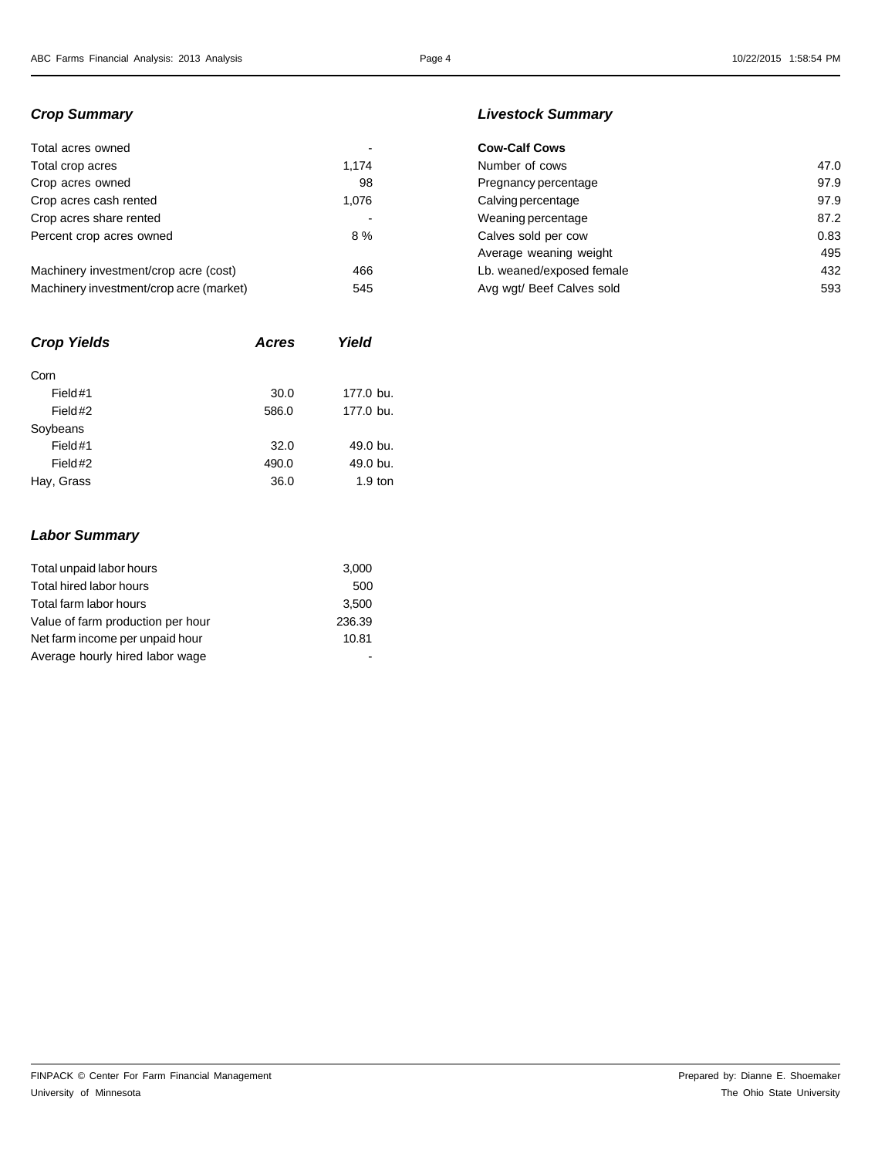| Total acres owned                       |       | <b>Cow-Calf Cows</b> |
|-----------------------------------------|-------|----------------------|
| Total crop acres                        | 1.174 | Number of cows       |
| Crop acres owned                        | 98    | Pregnancy perce      |
| Crop acres cash rented                  | 1.076 | Calving percenta     |
| Crop acres share rented                 |       | Weaning percent      |
| Percent crop acres owned                | 8%    | Calves sold per      |
|                                         |       | Average weaning      |
| Machinery investment/crop acre (cost)   | 466   | Lb. weaned/expo      |
| Machinery investment/crop acre (market) | 545   | Ava wat/ Beef Ca     |

| <b>Acres</b> | Yield     |
|--------------|-----------|
|              |           |
| 30.0         | 177.0 bu. |
| 586.0        | 177.0 bu. |
|              |           |
| 32.0         | 49.0 bu.  |
| 490.0        | 49.0 bu.  |
| 36.0         | $1.9$ ton |
|              |           |

### *Crop Summary Livestock Summary*

| Total acres owned                       |       | <b>Cow-Calf Cows</b>      |      |
|-----------------------------------------|-------|---------------------------|------|
| Total crop acres                        | 1.174 | Number of cows            | 47.0 |
| Crop acres owned                        | 98    | Pregnancy percentage      | 97.9 |
| Crop acres cash rented                  | 1.076 | Calving percentage        | 97.9 |
| Crop acres share rented                 |       | Weaning percentage        | 87.2 |
| Percent crop acres owned                | 8%    | Calves sold per cow       | 0.83 |
|                                         |       | Average weaning weight    | 495  |
| Machinery investment/crop acre (cost)   | 466   | Lb. weaned/exposed female | 432  |
| Machinery investment/crop acre (market) | 545   | Avg wgt/ Beef Calves sold | 593  |
|                                         |       |                           |      |

# *Labor Summary*

| Total unpaid labor hours          | 3,000  |
|-----------------------------------|--------|
| Total hired labor hours           | 500    |
| Total farm labor hours            | 3,500  |
| Value of farm production per hour | 236.39 |
| Net farm income per unpaid hour   | 10.81  |
| Average hourly hired labor wage   |        |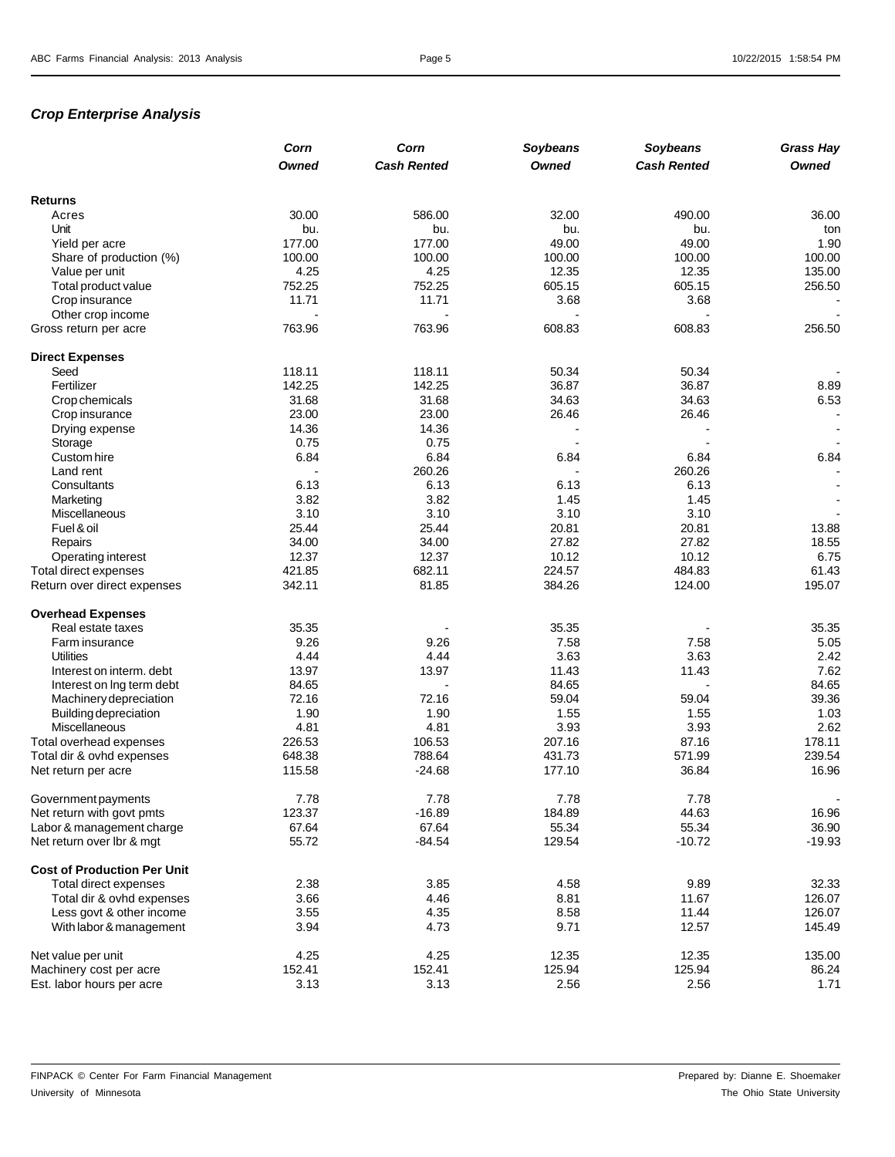# *Crop Enterprise Analysis*

|                                            | Corn         | Corn               | Soybeans     | Soybeans           | <b>Grass Hay</b> |
|--------------------------------------------|--------------|--------------------|--------------|--------------------|------------------|
|                                            | <b>Owned</b> | <b>Cash Rented</b> | <b>Owned</b> | <b>Cash Rented</b> | <b>Owned</b>     |
| <b>Returns</b>                             |              |                    |              |                    |                  |
| Acres                                      | 30.00        | 586.00             | 32.00        | 490.00             | 36.00            |
| Unit                                       | bu.          | bu.                | bu.          | bu.                | ton              |
| Yield per acre                             | 177.00       | 177.00             | 49.00        | 49.00              | 1.90             |
| Share of production (%)                    | 100.00       | 100.00             | 100.00       | 100.00             | 100.00           |
| Value per unit                             | 4.25         | 4.25               | 12.35        | 12.35              | 135.00           |
| Total product value                        | 752.25       | 752.25             | 605.15       | 605.15             | 256.50           |
|                                            | 11.71        | 11.71              | 3.68         | 3.68               |                  |
| Crop insurance                             |              |                    |              |                    |                  |
| Other crop income<br>Gross return per acre | 763.96       | 763.96             | 608.83       | 608.83             | 256.50           |
|                                            |              |                    |              |                    |                  |
| <b>Direct Expenses</b>                     |              |                    |              |                    |                  |
| Seed                                       | 118.11       | 118.11             | 50.34        | 50.34              |                  |
| Fertilizer                                 | 142.25       | 142.25             | 36.87        | 36.87              | 8.89             |
| Crop chemicals                             | 31.68        | 31.68              | 34.63        | 34.63              | 6.53             |
| Crop insurance                             | 23.00        | 23.00              | 26.46        | 26.46              |                  |
| Drying expense                             | 14.36        | 14.36              |              |                    |                  |
| Storage                                    | 0.75         | 0.75               |              |                    |                  |
| Custom hire                                | 6.84         | 6.84               | 6.84         | 6.84               | 6.84             |
| Land rent                                  |              | 260.26             |              | 260.26             |                  |
| Consultants                                | 6.13         | 6.13               | 6.13         | 6.13               |                  |
| Marketing                                  | 3.82         | 3.82               | 1.45         | 1.45               |                  |
| Miscellaneous                              | 3.10         | 3.10               | 3.10         | 3.10               |                  |
| Fuel & oil                                 | 25.44        | 25.44              | 20.81        | 20.81              | 13.88            |
| Repairs                                    | 34.00        | 34.00              | 27.82        | 27.82              | 18.55            |
| Operating interest                         | 12.37        | 12.37              | 10.12        | 10.12              | 6.75             |
| Total direct expenses                      | 421.85       | 682.11             | 224.57       | 484.83             | 61.43            |
| Return over direct expenses                | 342.11       | 81.85              | 384.26       | 124.00             | 195.07           |
| <b>Overhead Expenses</b>                   |              |                    |              |                    |                  |
| Real estate taxes                          | 35.35        |                    | 35.35        |                    | 35.35            |
| Farm insurance                             | 9.26         | 9.26               | 7.58         | 7.58               | 5.05             |
| <b>Utilities</b>                           | 4.44         | 4.44               | 3.63         | 3.63               | 2.42             |
| Interest on interm. debt                   | 13.97        | 13.97              | 11.43        | 11.43              | 7.62             |
| Interest on Ing term debt                  | 84.65        |                    | 84.65        |                    | 84.65            |
| Machinery depreciation                     | 72.16        | 72.16              | 59.04        | 59.04              | 39.36            |
| Building depreciation                      | 1.90         | 1.90               | 1.55         | 1.55               | 1.03             |
| Miscellaneous                              | 4.81         | 4.81               | 3.93         | 3.93               | 2.62             |
| Total overhead expenses                    | 226.53       | 106.53             | 207.16       | 87.16              | 178.11           |
| Total dir & ovhd expenses                  | 648.38       | 788.64             | 431.73       | 571.99             | 239.54           |
| Net return per acre                        | 115.58       | $-24.68$           | 177.10       | 36.84              | 16.96            |
| Government payments                        | 7.78         | 7.78               | 7.78         | 7.78               |                  |
| Net return with govt pmts                  | 123.37       | $-16.89$           | 184.89       | 44.63              | 16.96            |
| Labor & management charge                  | 67.64        | 67.64              | 55.34        | 55.34              | 36.90            |
| Net return over lbr & mgt                  | 55.72        | $-84.54$           | 129.54       | $-10.72$           | $-19.93$         |
| <b>Cost of Production Per Unit</b>         |              |                    |              |                    |                  |
| Total direct expenses                      | 2.38         | 3.85               | 4.58         | 9.89               | 32.33            |
| Total dir & ovhd expenses                  | 3.66         | 4.46               | 8.81         | 11.67              | 126.07           |
| Less govt & other income                   | 3.55         | 4.35               | 8.58         | 11.44              | 126.07           |
| With labor & management                    | 3.94         | 4.73               | 9.71         | 12.57              | 145.49           |
| Net value per unit                         | 4.25         | 4.25               | 12.35        | 12.35              | 135.00           |
| Machinery cost per acre                    | 152.41       | 152.41             | 125.94       | 125.94             | 86.24            |
| Est. labor hours per acre                  | 3.13         | 3.13               | 2.56         | 2.56               | 1.71             |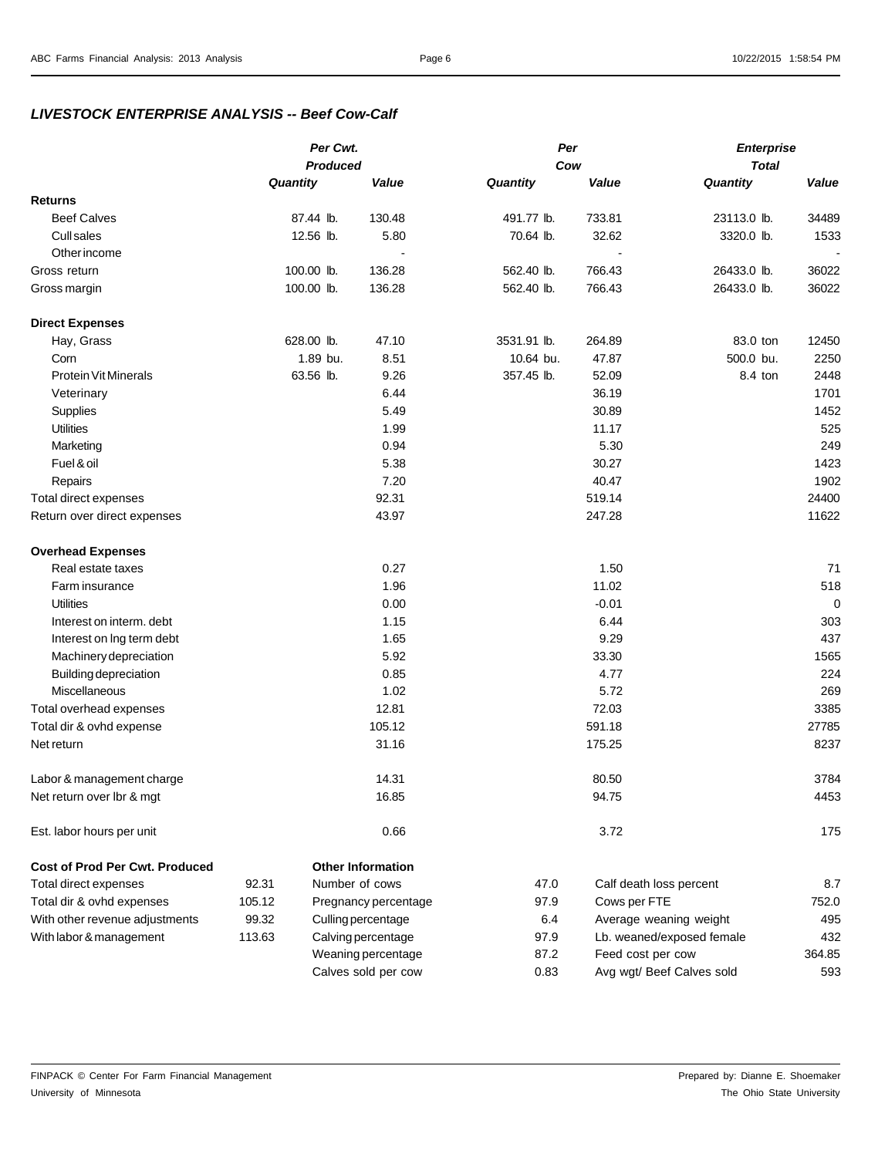### *LIVESTOCK ENTERPRISE ANALYSIS -- Beef Cow-Calf*

|                                       | Per Cwt. |                 | Per                      |             | <b>Enterprise</b>       |              |       |
|---------------------------------------|----------|-----------------|--------------------------|-------------|-------------------------|--------------|-------|
|                                       |          | <b>Produced</b> |                          | Cow         |                         | <b>Total</b> |       |
|                                       | Quantity |                 | Value                    | Quantity    | Value                   | Quantity     | Value |
| <b>Returns</b>                        |          |                 |                          |             |                         |              |       |
| <b>Beef Calves</b>                    |          | 87.44 lb.       | 130.48                   | 491.77 lb.  | 733.81                  | 23113.0 lb.  | 34489 |
| <b>Cull sales</b>                     |          | 12.56 lb.       | 5.80                     | 70.64 lb.   | 32.62                   | 3320.0 lb.   | 1533  |
| Other income                          |          |                 |                          |             |                         |              |       |
| Gross return                          |          | 100.00 lb.      | 136.28                   | 562.40 lb.  | 766.43                  | 26433.0 lb.  | 36022 |
| Gross margin                          |          | 100.00 lb.      | 136.28                   | 562.40 lb.  | 766.43                  | 26433.0 lb.  | 36022 |
| <b>Direct Expenses</b>                |          |                 |                          |             |                         |              |       |
| Hay, Grass                            |          | 628.00 lb.      | 47.10                    | 3531.91 lb. | 264.89                  | 83.0 ton     | 12450 |
| Corn                                  |          | 1.89 bu.        | 8.51                     | 10.64 bu.   | 47.87                   | 500.0 bu.    | 2250  |
| <b>Protein Vit Minerals</b>           |          | 63.56 lb.       | 9.26                     | 357.45 lb.  | 52.09                   | 8.4 ton      | 2448  |
| Veterinary                            |          |                 | 6.44                     |             | 36.19                   |              | 1701  |
| Supplies                              |          |                 | 5.49                     |             | 30.89                   |              | 1452  |
| <b>Utilities</b>                      |          |                 | 1.99                     |             | 11.17                   |              | 525   |
| Marketing                             |          |                 | 0.94                     |             | 5.30                    |              | 249   |
| Fuel & oil                            |          |                 | 5.38                     |             | 30.27                   |              | 1423  |
| Repairs                               |          |                 | 7.20                     |             | 40.47                   |              | 1902  |
| Total direct expenses                 |          |                 | 92.31                    |             | 519.14                  |              | 24400 |
| Return over direct expenses           |          |                 | 43.97                    |             | 247.28                  |              | 11622 |
| <b>Overhead Expenses</b>              |          |                 |                          |             |                         |              |       |
| Real estate taxes                     |          |                 | 0.27                     |             | 1.50                    |              | 71    |
| Farm insurance                        |          |                 | 1.96                     |             | 11.02                   |              | 518   |
| <b>Utilities</b>                      |          |                 | 0.00                     |             | $-0.01$                 |              | 0     |
| Interest on interm. debt              |          |                 | 1.15                     |             | 6.44                    |              | 303   |
| Interest on Ing term debt             |          |                 | 1.65                     |             | 9.29                    |              | 437   |
| Machinery depreciation                |          |                 | 5.92                     |             | 33.30                   |              | 1565  |
| <b>Building depreciation</b>          |          |                 | 0.85                     |             | 4.77                    |              | 224   |
| Miscellaneous                         |          |                 | 1.02                     |             | 5.72                    |              | 269   |
| Total overhead expenses               |          |                 | 12.81                    |             | 72.03                   |              | 3385  |
| Total dir & ovhd expense              |          |                 | 105.12                   |             | 591.18                  |              | 27785 |
| Net return                            |          |                 | 31.16                    |             | 175.25                  |              | 8237  |
| Labor & management charge             |          |                 | 14.31                    |             | 80.50                   |              | 3784  |
| Net return over lbr & mgt             |          |                 | 16.85                    |             | 94.75                   |              | 4453  |
| Est. labor hours per unit             |          |                 | 0.66                     |             | 3.72                    |              | 175   |
| <b>Cost of Prod Per Cwt. Produced</b> |          |                 | <b>Other Information</b> |             |                         |              |       |
| Total direct expenses                 | 92.31    |                 | Number of cows           | 47.0        | Calf death loss percent |              | 8.7   |
| Total dir & ovhd expenses             | 105.12   |                 | Pregnancy percentage     | 97.9        | Cows per FTE            |              | 752.0 |

Calves sold per cow 0.83 Avg wgt/ Beef Calves sold 593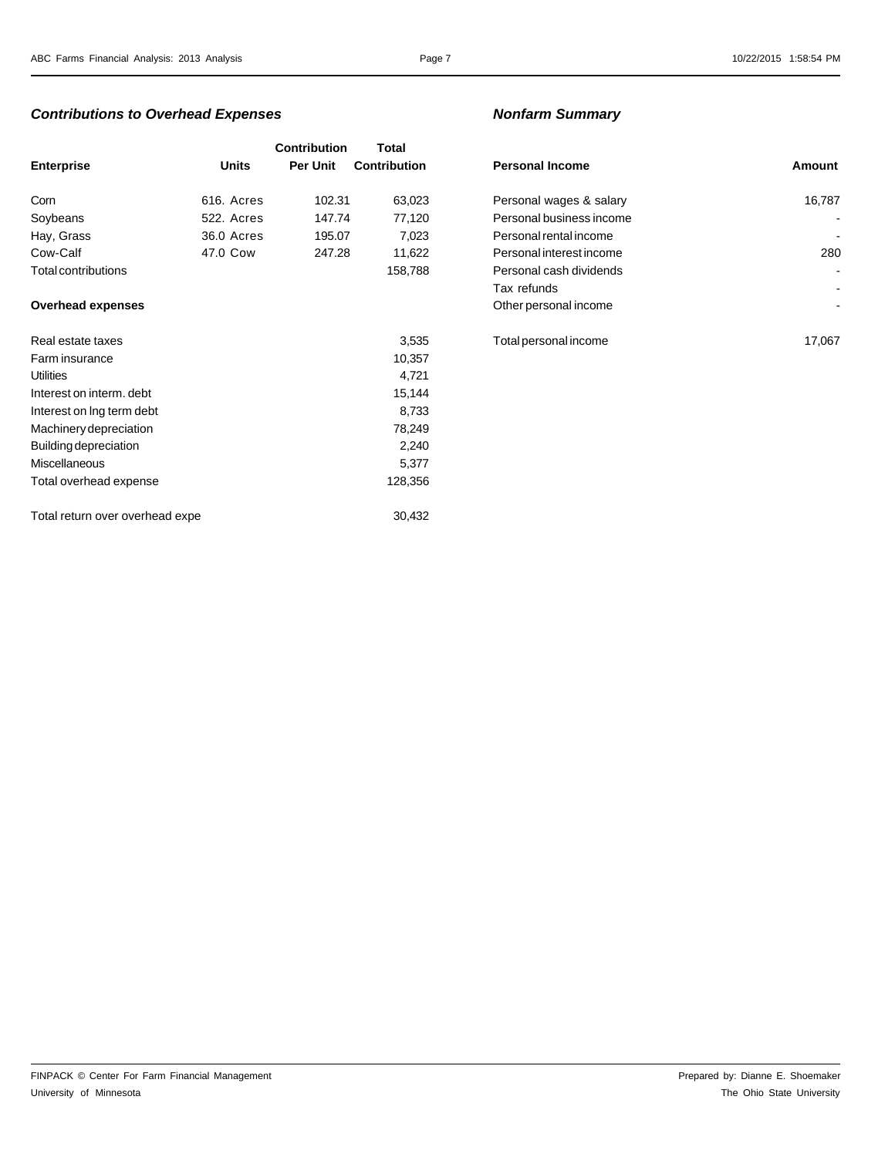### *Contributions to Overhead Expenses Nonfarm Summary*

|                                 |              | <b>Contribution</b> | Total               |                          |        |
|---------------------------------|--------------|---------------------|---------------------|--------------------------|--------|
| <b>Enterprise</b>               | <b>Units</b> | Per Unit            | <b>Contribution</b> | <b>Personal Income</b>   | Amount |
| Corn                            | 616. Acres   | 102.31              | 63,023              | Personal wages & salary  | 16,787 |
| Soybeans                        | 522. Acres   | 147.74              | 77,120              | Personal business income |        |
| Hay, Grass                      | 36.0 Acres   | 195.07              | 7,023               | Personal rental income   |        |
| Cow-Calf                        | 47.0 Cow     | 247.28              | 11,622              | Personal interest income | 280    |
| Total contributions             |              |                     | 158,788             | Personal cash dividends  |        |
|                                 |              |                     |                     | Tax refunds              |        |
| <b>Overhead expenses</b>        |              |                     |                     | Other personal income    |        |
| Real estate taxes               |              |                     | 3,535               | Total personal income    | 17,067 |
| Farm insurance                  |              |                     | 10,357              |                          |        |
| Utilities                       |              |                     | 4,721               |                          |        |
| Interest on interm. debt        |              |                     | 15,144              |                          |        |
| Interest on Ing term debt       |              |                     | 8,733               |                          |        |
| Machinery depreciation          |              |                     | 78,249              |                          |        |
| Building depreciation           |              |                     | 2,240               |                          |        |
| <b>Miscellaneous</b>            |              |                     | 5,377               |                          |        |
| Total overhead expense          |              |                     | 128,356             |                          |        |
| Total return over overhead expe |              |                     | 30,432              |                          |        |

| <b>Personal Income</b>   | Amount |
|--------------------------|--------|
| Personal wages & salary  | 16,787 |
| Personal business income |        |
| Personal rental income   |        |
| Personal interest income | 280    |
| Personal cash dividends  |        |
| Tax refunds              |        |
| Other personal income    |        |
|                          |        |
| Total personal income    | 17,067 |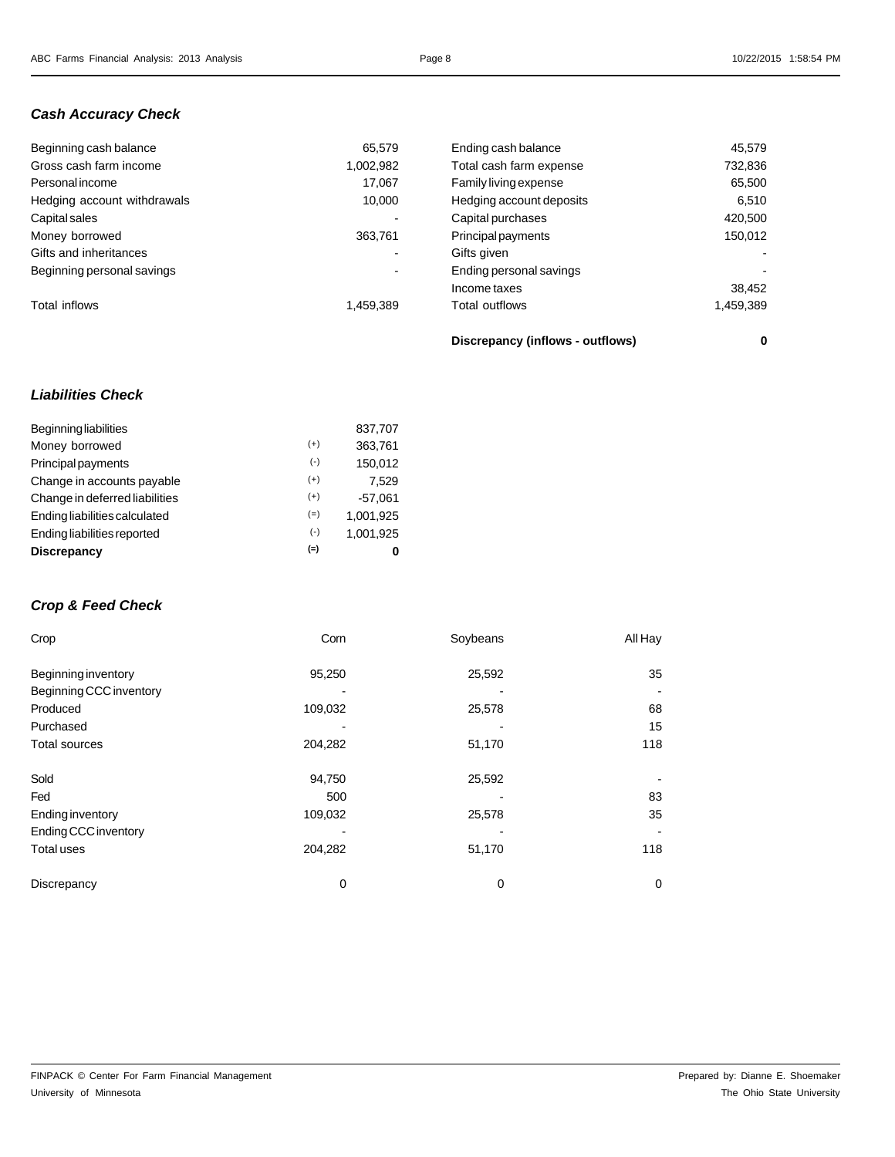### *Cash Accuracy Check*

| Beginning cash balance      | 65.579                   | Ending cash balance      | 45,579    |
|-----------------------------|--------------------------|--------------------------|-----------|
| Gross cash farm income      | 1,002,982                | Total cash farm expense  | 732,836   |
| <b>Personal income</b>      | 17.067                   | Family living expense    | 65,500    |
| Hedging account withdrawals | 10.000                   | Hedging account deposits | 6,510     |
| Capital sales               |                          | Capital purchases        | 420,500   |
| Money borrowed              | 363,761                  | Principal payments       | 150,012   |
| Gifts and inheritances      | $\overline{\phantom{0}}$ | Gifts given              | $\sim$    |
| Beginning personal savings  | $\overline{\phantom{a}}$ | Ending personal savings  |           |
|                             |                          | Income taxes             | 38,452    |
| Total inflows               | 1,459,389                | Total outflows           | 1,459,389 |

**Discrepancy (inflows - outflows) 0**

## *Liabilities Check*

| <b>Beginning liabilities</b>   |       | 837,707   |
|--------------------------------|-------|-----------|
| Money borrowed                 | $(+)$ | 363,761   |
| Principal payments             | $(-)$ | 150,012   |
| Change in accounts payable     | $(+)$ | 7.529     |
| Change in deferred liabilities | $(+)$ | $-57.061$ |
| Ending liabilities calculated  | $(=)$ | 1.001.925 |
| Ending liabilities reported    | $(-)$ | 1,001,925 |
| <b>Discrepancy</b>             | $(=)$ | 0         |

# *Crop & Feed Check*

| Crop                    | Corn    | Soybeans | All Hay |
|-------------------------|---------|----------|---------|
| Beginning inventory     | 95,250  | 25,592   | 35      |
| Beginning CCC inventory |         |          |         |
| Produced                | 109,032 | 25,578   | 68      |
| Purchased               |         |          | 15      |
| <b>Total sources</b>    | 204,282 | 51,170   | 118     |
|                         |         |          |         |
| Sold                    | 94,750  | 25,592   |         |
| Fed                     | 500     |          | 83      |
| Ending inventory        | 109,032 | 25,578   | 35      |
| Ending CCC inventory    |         |          |         |
| Total uses              | 204,282 | 51,170   | 118     |
| Discrepancy             | 0       | 0        | 0       |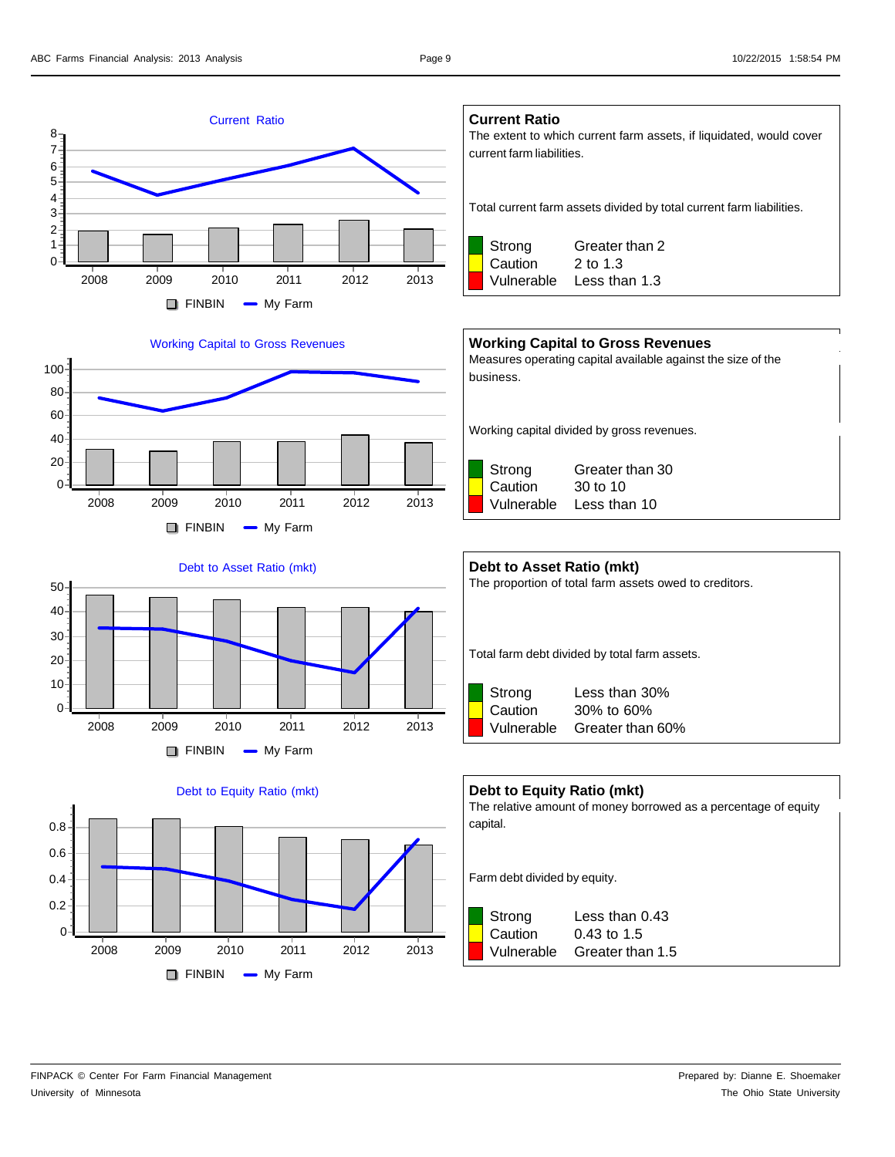







**Current Ratio**

The extent to which current farm assets, if liquidated, would cover current farm liabilities.

Total current farm assets divided by total current farm liabilities.



Vulnerable Less than 1.3

### **Working Capital to Gross Revenues**

Measures operating capital available against the size of the business.

Working capital divided by gross revenues.



| Debt to Asset Ratio (mkt)<br>The proportion of total farm assets owed to creditors. |            |                                               |  |  |  |  |
|-------------------------------------------------------------------------------------|------------|-----------------------------------------------|--|--|--|--|
|                                                                                     |            |                                               |  |  |  |  |
|                                                                                     |            | Total farm debt divided by total farm assets. |  |  |  |  |
|                                                                                     |            |                                               |  |  |  |  |
|                                                                                     | Strong     | Less than 30%                                 |  |  |  |  |
|                                                                                     | Caution    | 30% to 60%                                    |  |  |  |  |
|                                                                                     | Vulnerable | Greater than 60%                              |  |  |  |  |

### **Debt to Equity Ratio (mkt)**

The relative amount of money borrowed as a percentage of equity capital.

Farm debt divided by equity.



Strong Less than 0.43 Vulnerable Greater than 1.5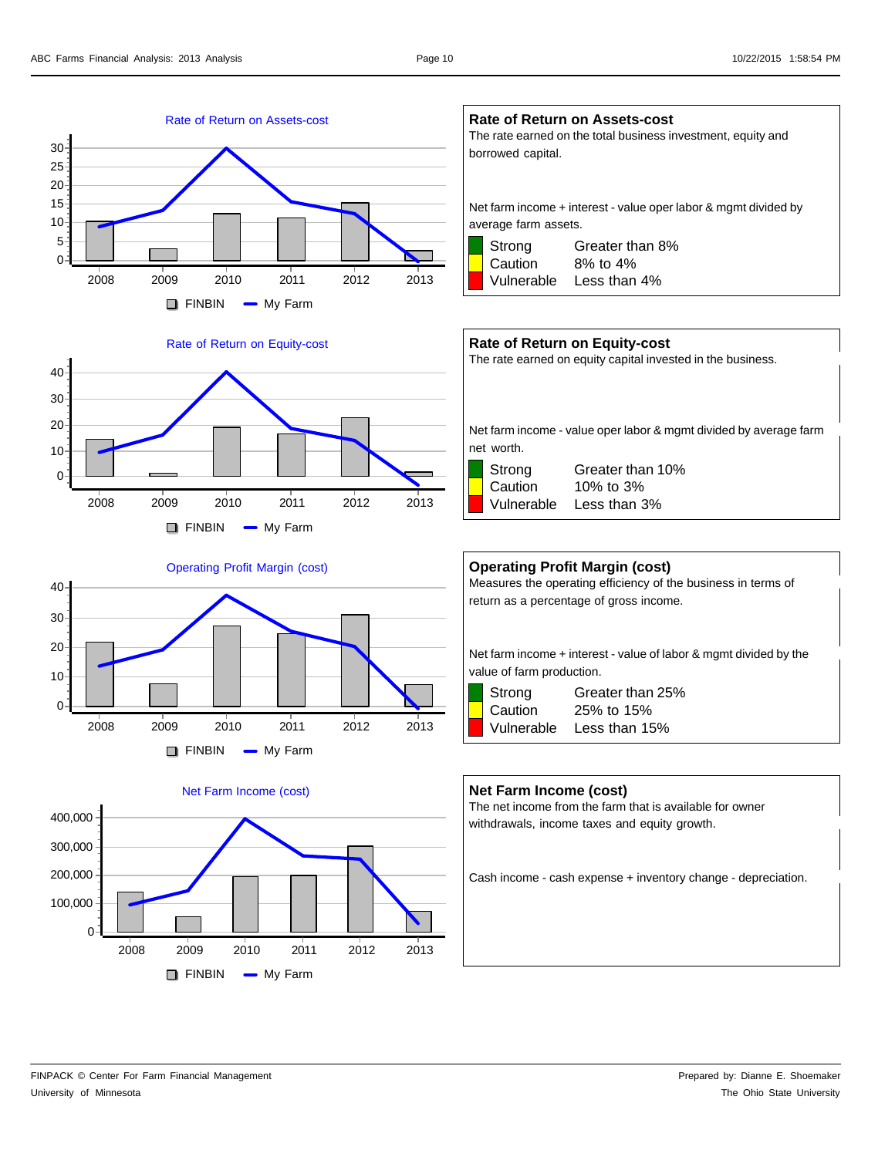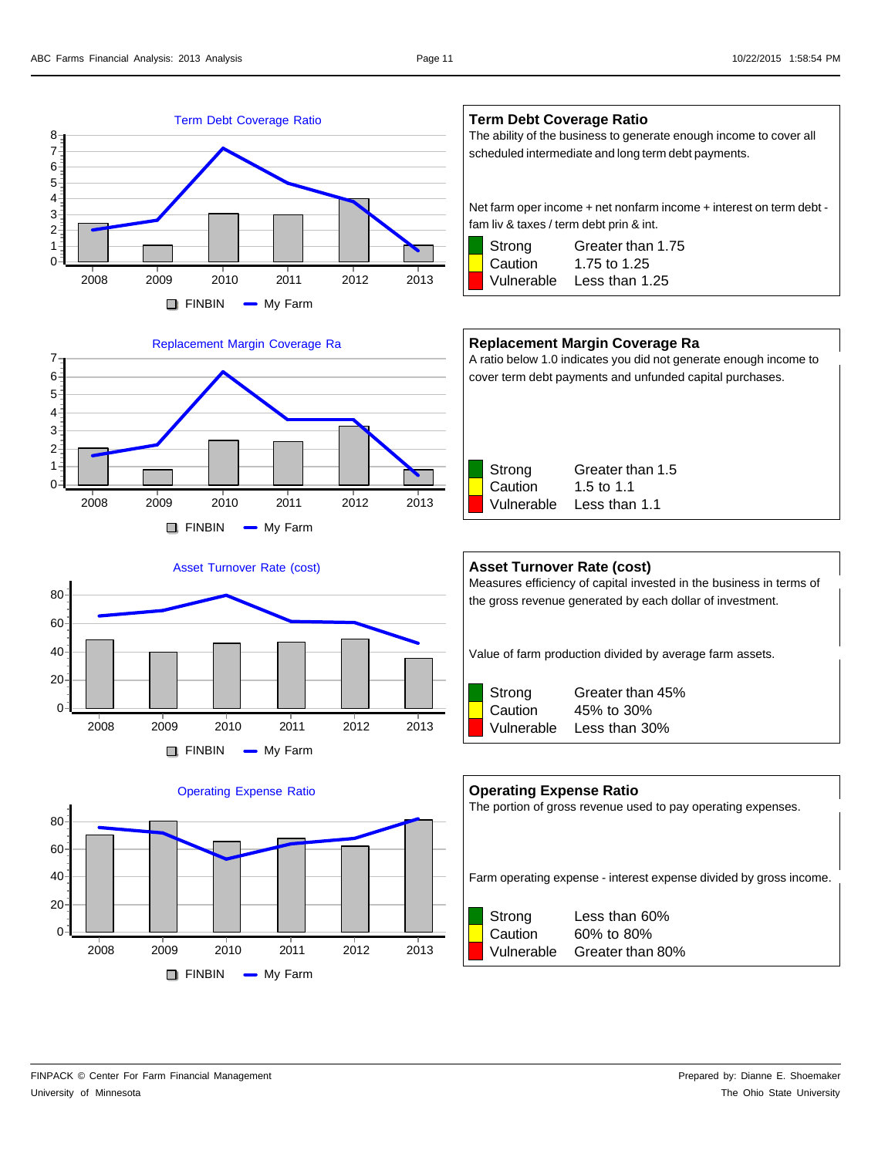







### **Term Debt Coverage Ratio**

The ability of the business to generate enough income to cover all scheduled intermediate and long term debt payments.

Net farm oper income + net nonfarm income + interest on term debt fam liv & taxes / term debt prin & int.

Strong Greater than 1.75 Caution 1.75 to 1.25 Vulnerable Less than 1.25

### **Replacement Margin Coverage Ra**

A ratio below 1.0 indicates you did not generate enough income to cover term debt payments and unfunded capital purchases.



### **Asset Turnover Rate (cost)**

Measures efficiency of capital invested in the business in terms of the gross revenue generated by each dollar of investment.

Value of farm production divided by average farm assets.



Strong Greater than 45% Caution 45% to 30% Vulnerable Less than 30%

# **Operating Expense Ratio** The portion of gross revenue used to pay operating expenses.

Farm operating expense - interest expense divided by gross income.



Strong Less than 60% Caution 60% to 80% Vulnerable Greater than 80%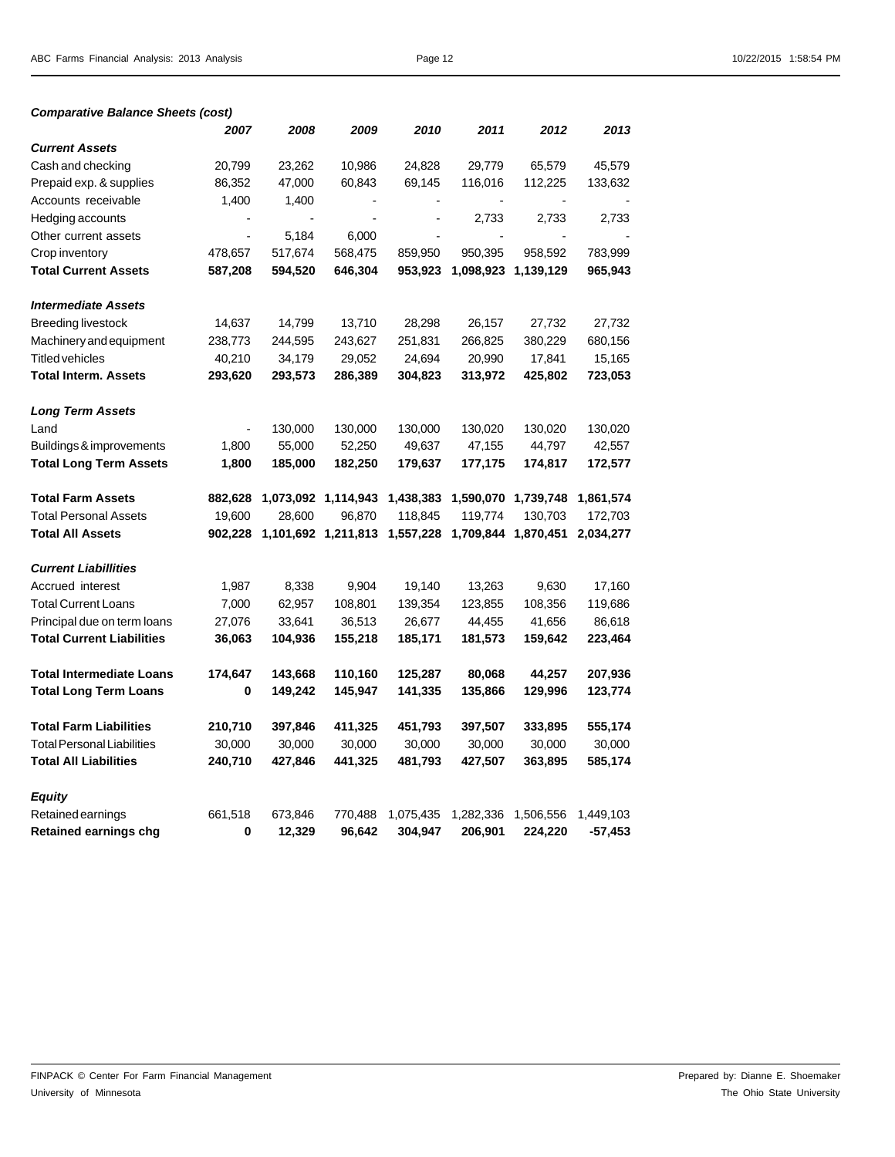| <b>Comparative Balance Sheets (cost)</b> |
|------------------------------------------|
|------------------------------------------|

|                                   | 2007           | 2008    | 2009                | 2010      | 2011           | 2012      | 2013      |
|-----------------------------------|----------------|---------|---------------------|-----------|----------------|-----------|-----------|
| <b>Current Assets</b>             |                |         |                     |           |                |           |           |
| Cash and checking                 | 20,799         | 23,262  | 10,986              | 24,828    | 29,779         | 65,579    | 45,579    |
| Prepaid exp. & supplies           | 86,352         | 47,000  | 60,843              | 69,145    | 116,016        | 112,225   | 133,632   |
| Accounts receivable               | 1,400          | 1,400   |                     |           |                |           |           |
| Hedging accounts                  |                |         |                     |           | 2,733          | 2,733     | 2,733     |
| Other current assets              | $\blacksquare$ | 5,184   | 6,000               |           | $\blacksquare$ |           |           |
| Crop inventory                    | 478,657        | 517,674 | 568,475             | 859,950   | 950,395        | 958,592   | 783,999   |
| <b>Total Current Assets</b>       | 587,208        | 594,520 | 646,304             | 953,923   | 1,098,923      | 1,139,129 | 965,943   |
|                                   |                |         |                     |           |                |           |           |
| <b>Intermediate Assets</b>        |                |         |                     |           |                |           |           |
| <b>Breeding livestock</b>         | 14,637         | 14,799  | 13,710              | 28,298    | 26,157         | 27,732    | 27,732    |
| Machinery and equipment           | 238,773        | 244,595 | 243,627             | 251,831   | 266,825        | 380,229   | 680,156   |
| <b>Titled vehicles</b>            | 40,210         | 34,179  | 29,052              | 24,694    | 20,990         | 17,841    | 15,165    |
| <b>Total Interm. Assets</b>       | 293,620        | 293,573 | 286,389             | 304,823   | 313,972        | 425,802   | 723,053   |
|                                   |                |         |                     |           |                |           |           |
| <b>Long Term Assets</b>           |                |         |                     |           |                |           |           |
| Land                              |                | 130,000 | 130,000             | 130,000   | 130,020        | 130,020   | 130,020   |
| Buildings & improvements          | 1,800          | 55,000  | 52,250              | 49,637    | 47,155         | 44,797    | 42,557    |
| <b>Total Long Term Assets</b>     | 1,800          | 185,000 | 182,250             | 179,637   | 177,175        | 174,817   | 172,577   |
| <b>Total Farm Assets</b>          | 882,628        |         | 1,073,092 1,114,943 | 1,438,383 | 1,590,070      | 1,739,748 | 1,861,574 |
| <b>Total Personal Assets</b>      | 19,600         | 28,600  | 96,870              | 118,845   | 119,774        | 130,703   | 172,703   |
| <b>Total All Assets</b>           | 902,228        |         | 1,101,692 1,211,813 | 1,557,228 | 1,709,844      | 1,870,451 | 2,034,277 |
|                                   |                |         |                     |           |                |           |           |
| <b>Current Liabillities</b>       |                |         |                     |           |                |           |           |
| Accrued interest                  | 1,987          | 8,338   | 9,904               | 19,140    | 13,263         | 9,630     | 17,160    |
| <b>Total Current Loans</b>        | 7,000          | 62,957  | 108,801             | 139,354   | 123,855        | 108,356   | 119,686   |
| Principal due on term loans       | 27,076         | 33,641  | 36,513              | 26,677    | 44,455         | 41,656    | 86,618    |
| <b>Total Current Liabilities</b>  | 36,063         | 104,936 | 155,218             | 185,171   | 181,573        | 159,642   | 223,464   |
|                                   |                |         |                     |           |                |           |           |
| <b>Total Intermediate Loans</b>   | 174,647        | 143,668 | 110,160             | 125,287   | 80,068         | 44,257    | 207,936   |
| <b>Total Long Term Loans</b>      | 0              | 149,242 | 145,947             | 141,335   | 135,866        | 129,996   | 123,774   |
| <b>Total Farm Liabilities</b>     | 210,710        | 397,846 | 411,325             | 451,793   | 397,507        | 333,895   | 555,174   |
| <b>Total Personal Liabilities</b> | 30,000         | 30,000  | 30,000              | 30,000    | 30,000         | 30,000    | 30,000    |
| <b>Total All Liabilities</b>      | 240,710        | 427,846 | 441,325             | 481,793   | 427,507        | 363,895   | 585,174   |
|                                   |                |         |                     |           |                |           |           |
| <b>Equity</b>                     |                |         |                     |           |                |           |           |
| Retained earnings                 | 661,518        | 673,846 | 770,488             | 1,075,435 | 1,282,336      | 1,506,556 | 1,449,103 |
| <b>Retained earnings chg</b>      | 0              | 12,329  | 96,642              | 304,947   | 206,901        | 224,220   | -57,453   |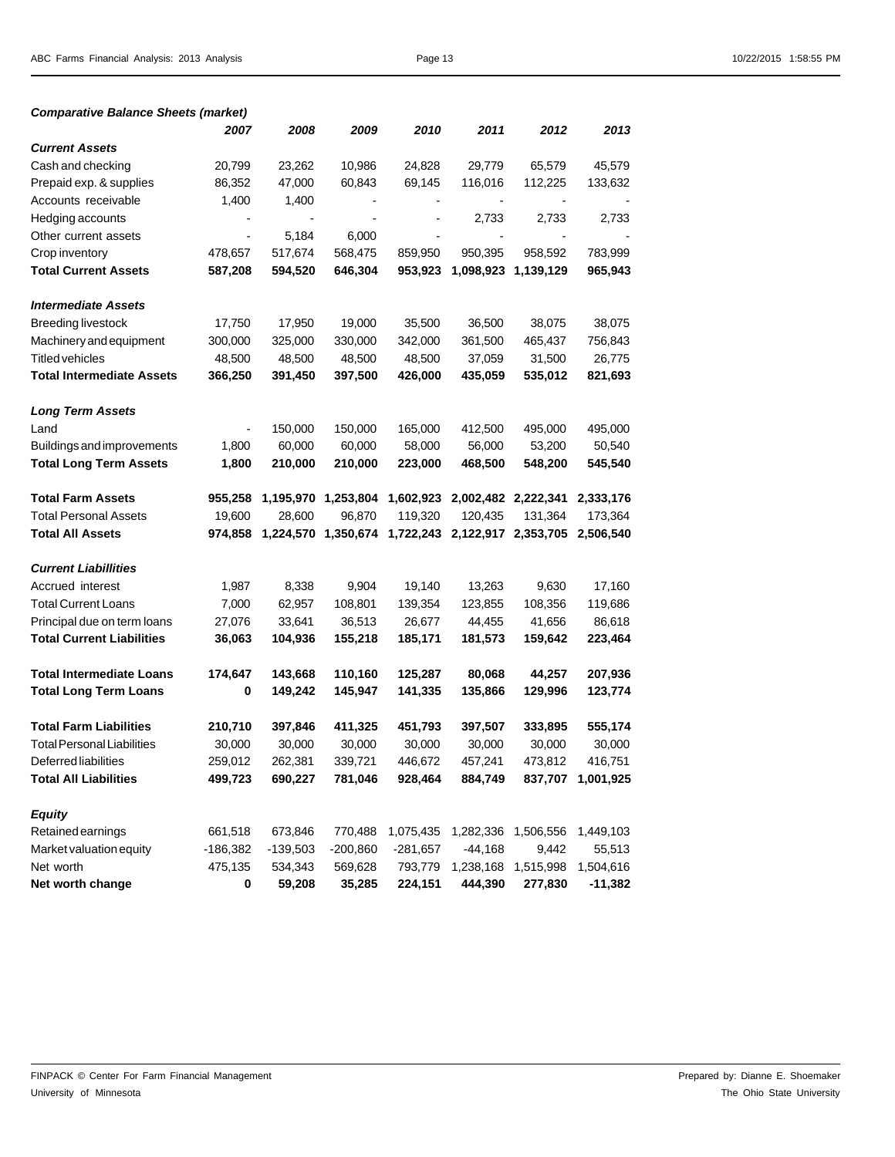| <b>Comparative Balance Sheets (market)</b> |                          |            |                     |            |           |                     |                   |
|--------------------------------------------|--------------------------|------------|---------------------|------------|-----------|---------------------|-------------------|
|                                            | 2007                     | 2008       | 2009                | 2010       | 2011      | 2012                | 2013              |
| <b>Current Assets</b>                      |                          |            |                     |            |           |                     |                   |
| Cash and checking                          | 20,799                   | 23,262     | 10,986              | 24,828     | 29,779    | 65,579              | 45,579            |
| Prepaid exp. & supplies                    | 86,352                   | 47,000     | 60,843              | 69,145     | 116,016   | 112,225             | 133,632           |
| Accounts receivable                        | 1,400                    | 1,400      |                     |            |           |                     |                   |
| Hedging accounts                           |                          |            |                     |            | 2,733     | 2,733               | 2,733             |
| Other current assets                       | $\overline{\phantom{a}}$ | 5,184      | 6,000               |            |           |                     |                   |
| Crop inventory                             | 478,657                  | 517,674    | 568,475             | 859,950    | 950,395   | 958,592             | 783,999           |
| <b>Total Current Assets</b>                | 587,208                  | 594,520    | 646,304             | 953,923    |           | 1,098,923 1,139,129 | 965,943           |
| <b>Intermediate Assets</b>                 |                          |            |                     |            |           |                     |                   |
| <b>Breeding livestock</b>                  | 17,750                   | 17,950     | 19,000              | 35,500     | 36,500    | 38,075              | 38,075            |
| Machinery and equipment                    | 300,000                  | 325,000    | 330,000             | 342,000    | 361,500   | 465,437             | 756,843           |
| <b>Titled vehicles</b>                     | 48,500                   | 48,500     | 48,500              | 48,500     | 37,059    | 31,500              | 26,775            |
| <b>Total Intermediate Assets</b>           | 366,250                  | 391,450    | 397,500             | 426,000    | 435,059   | 535,012             | 821,693           |
| <b>Long Term Assets</b>                    |                          |            |                     |            |           |                     |                   |
| Land                                       |                          | 150,000    | 150,000             | 165,000    | 412,500   | 495,000             | 495,000           |
| Buildings and improvements                 | 1,800                    | 60,000     | 60,000              | 58,000     | 56,000    | 53,200              | 50,540            |
| <b>Total Long Term Assets</b>              | 1,800                    | 210,000    | 210,000             | 223,000    | 468,500   | 548,200             | 545,540           |
| <b>Total Farm Assets</b>                   | 955,258                  |            | 1,195,970 1,253,804 | 1,602,923  |           | 2,002,482 2,222,341 | 2,333,176         |
| <b>Total Personal Assets</b>               | 19,600                   | 28,600     | 96,870              | 119,320    | 120,435   | 131,364             | 173,364           |
| <b>Total All Assets</b>                    | 974,858                  | 1,224,570  | 1,350,674           | 1,722,243  |           | 2,122,917 2,353,705 | 2,506,540         |
| <b>Current Liabillities</b>                |                          |            |                     |            |           |                     |                   |
| Accrued interest                           | 1,987                    | 8,338      | 9,904               | 19,140     | 13,263    | 9,630               | 17,160            |
| <b>Total Current Loans</b>                 | 7,000                    | 62,957     | 108,801             | 139,354    | 123,855   | 108,356             | 119,686           |
| Principal due on term loans                | 27,076                   | 33,641     | 36,513              | 26,677     | 44,455    | 41,656              | 86,618            |
| <b>Total Current Liabilities</b>           | 36,063                   | 104,936    | 155,218             | 185,171    | 181,573   | 159,642             | 223,464           |
| <b>Total Intermediate Loans</b>            | 174,647                  | 143,668    | 110,160             | 125,287    | 80,068    | 44,257              | 207,936           |
| <b>Total Long Term Loans</b>               | 0                        | 149,242    | 145,947             | 141,335    | 135,866   | 129,996             | 123,774           |
| <b>Total Farm Liabilities</b>              | 210,710                  | 397,846    | 411,325             | 451,793    | 397,507   | 333,895             | 555,174           |
| <b>Total Personal Liabilities</b>          | 30,000                   | 30,000     | 30,000              | 30,000     | 30,000    | 30,000              | 30,000            |
| <b>Deferred liabilities</b>                | 259,012                  | 262,381    | 339,721             | 446,672    | 457,241   | 473,812             | 416,751           |
| <b>Total All Liabilities</b>               | 499,723                  | 690,227    | 781,046             | 928,464    | 884,749   |                     | 837,707 1,001,925 |
| <b>Equity</b>                              |                          |            |                     |            |           |                     |                   |
| <b>Retained earnings</b>                   | 661,518                  | 673,846    | 770,488             | 1,075,435  |           | 1,282,336 1,506,556 | 1,449,103         |
| Market valuation equity                    | $-186,382$               | $-139,503$ | $-200,860$          | $-281,657$ | $-44,168$ | 9,442               | 55,513            |
| Net worth                                  | 475,135                  | 534,343    | 569,628             | 793,779    |           | 1,238,168 1,515,998 | 1,504,616         |
| Net worth change                           | 0                        | 59,208     | 35,285              | 224,151    | 444,390   | 277,830             | $-11,382$         |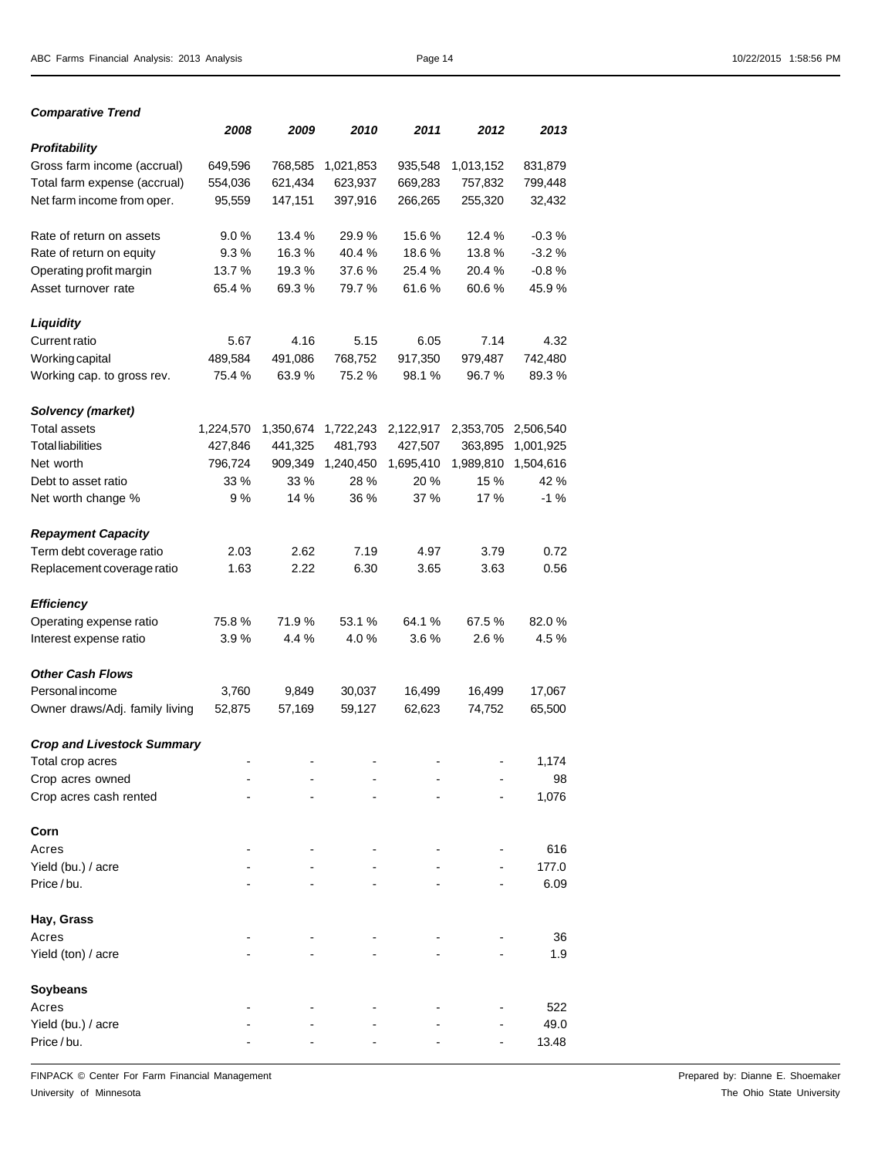*Comparative Trend*

|                                   | 2008      | 2009      | 2010      | 2011      | 2012      | 2013      |
|-----------------------------------|-----------|-----------|-----------|-----------|-----------|-----------|
| Profitability                     |           |           |           |           |           |           |
| Gross farm income (accrual)       | 649,596   | 768,585   | 1,021,853 | 935,548   | 1,013,152 | 831,879   |
| Total farm expense (accrual)      | 554,036   | 621,434   | 623,937   | 669,283   | 757,832   | 799,448   |
| Net farm income from oper.        | 95,559    | 147,151   | 397,916   | 266,265   | 255,320   | 32,432    |
| Rate of return on assets          | 9.0%      | 13.4 %    | 29.9%     | 15.6%     | 12.4 %    | $-0.3%$   |
| Rate of return on equity          | 9.3%      | 16.3%     | 40.4%     | 18.6%     | 13.8%     | $-3.2%$   |
| Operating profit margin           | 13.7%     | 19.3%     | 37.6 %    | 25.4%     | 20.4%     | $-0.8%$   |
| Asset turnover rate               | 65.4 %    | 69.3%     | 79.7 %    | 61.6%     | 60.6%     | 45.9%     |
| <b>Liquidity</b>                  |           |           |           |           |           |           |
| <b>Current ratio</b>              | 5.67      | 4.16      | 5.15      | 6.05      | 7.14      | 4.32      |
| Working capital                   | 489,584   | 491,086   | 768,752   | 917,350   | 979,487   | 742,480   |
| Working cap. to gross rev.        | 75.4 %    | 63.9%     | 75.2 %    | 98.1 %    | 96.7%     | 89.3%     |
| Solvency (market)                 |           |           |           |           |           |           |
| <b>Total assets</b>               | 1,224,570 | 1,350,674 | 1,722,243 | 2,122,917 | 2,353,705 | 2,506,540 |
| <b>Total liabilities</b>          | 427,846   | 441,325   | 481,793   | 427,507   | 363,895   | 1,001,925 |
| Net worth                         | 796,724   | 909,349   | 1,240,450 | 1,695,410 | 1,989,810 | 1,504,616 |
| Debt to asset ratio               | 33 %      | 33 %      | 28 %      | 20 %      | 15 %      | 42 %      |
| Net worth change %                | 9%        | 14 %      | 36 %      | 37 %      | 17 %      | -1 %      |
| <b>Repayment Capacity</b>         |           |           |           |           |           |           |
| Term debt coverage ratio          | 2.03      | 2.62      | 7.19      | 4.97      | 3.79      | 0.72      |
| Replacement coverage ratio        | 1.63      | 2.22      | 6.30      | 3.65      | 3.63      | 0.56      |
| <b>Efficiency</b>                 |           |           |           |           |           |           |
| Operating expense ratio           | 75.8%     | 71.9%     | 53.1 %    | 64.1%     | 67.5 %    | 82.0%     |
| Interest expense ratio            | 3.9%      | 4.4 %     | 4.0%      | 3.6%      | 2.6%      | 4.5 %     |
| <b>Other Cash Flows</b>           |           |           |           |           |           |           |
| <b>Personal income</b>            | 3,760     | 9,849     | 30,037    | 16,499    | 16,499    | 17,067    |
| Owner draws/Adj. family living    | 52,875    | 57,169    | 59,127    | 62,623    | 74,752    | 65,500    |
| <b>Crop and Livestock Summary</b> |           |           |           |           |           |           |
| Total crop acres                  |           |           |           |           |           | 1,174     |
| Crop acres owned                  |           |           |           |           |           | 98        |
| Crop acres cash rented            |           |           |           |           |           | 1,076     |
| Corn                              |           |           |           |           |           |           |
| Acres                             |           |           |           |           |           | 616       |
| Yield (bu.) / acre                |           |           |           |           |           | 177.0     |
| Price/bu.                         |           |           |           |           |           | 6.09      |
| Hay, Grass                        |           |           |           |           |           |           |
| Acres                             |           |           |           |           |           | 36        |
| Yield (ton) / acre                |           |           |           |           |           | 1.9       |
| Soybeans                          |           |           |           |           |           |           |
| Acres                             |           |           |           |           |           | 522       |
| Yield (bu.) / acre                |           |           |           |           |           | 49.0      |
| Price/bu.                         |           |           |           |           |           | 13.48     |